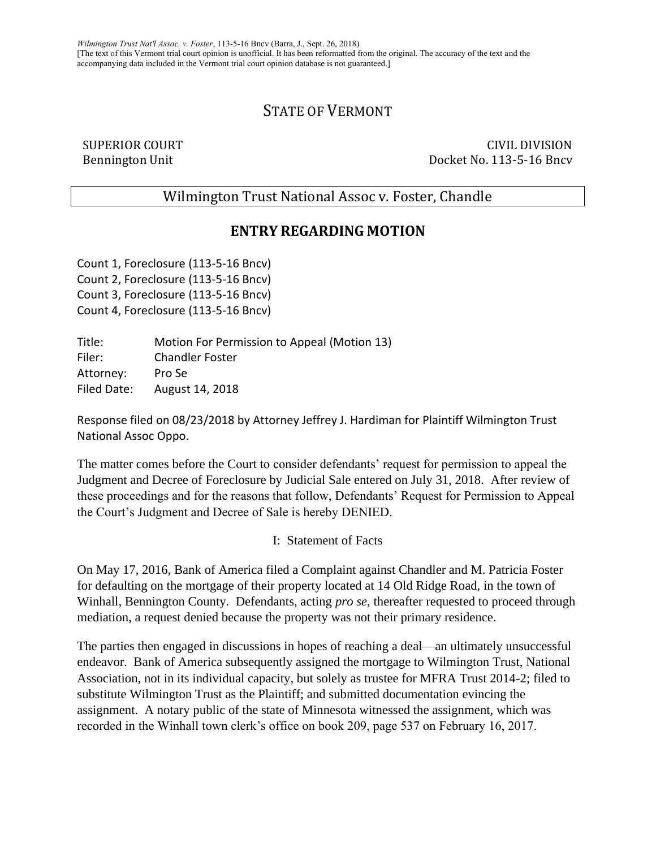# STATE OF VERMONT

SUPERIOR COURT CIVIL DIVISION Bennington Unit Docket No. 113-5-16 Bncv

Wilmington Trust National Assoc v. Foster, Chandle

## **ENTRY REGARDING MOTION**

Count 1, Foreclosure (113-5-16 Bncv) Count 2, Foreclosure (113-5-16 Bncv) Count 3, Foreclosure (113-5-16 Bncv) Count 4, Foreclosure (113-5-16 Bncv)

Title: Motion For Permission to Appeal (Motion 13) Filer: Chandler Foster Attorney: Pro Se Filed Date: August 14, 2018

Response filed on 08/23/2018 by Attorney Jeffrey J. Hardiman for Plaintiff Wilmington Trust National Assoc Oppo.

The matter comes before the Court to consider defendants' request for permission to appeal the Judgment and Decree of Foreclosure by Judicial Sale entered on July 31, 2018. After review of these proceedings and for the reasons that follow, Defendants' Request for Permission to Appeal the Court's Judgment and Decree of Sale is hereby DENIED.

I: Statement of Facts

On May 17, 2016, Bank of America filed a Complaint against Chandler and M. Patricia Foster for defaulting on the mortgage of their property located at 14 Old Ridge Road, in the town of Winhall, Bennington County. Defendants, acting *pro se*, thereafter requested to proceed through mediation, a request denied because the property was not their primary residence.

The parties then engaged in discussions in hopes of reaching a deal—an ultimately unsuccessful endeavor. Bank of America subsequently assigned the mortgage to Wilmington Trust, National Association, not in its individual capacity, but solely as trustee for MFRA Trust 2014-2; filed to substitute Wilmington Trust as the Plaintiff; and submitted documentation evincing the assignment. A notary public of the state of Minnesota witnessed the assignment, which was recorded in the Winhall town clerk's office on book 209, page 537 on February 16, 2017.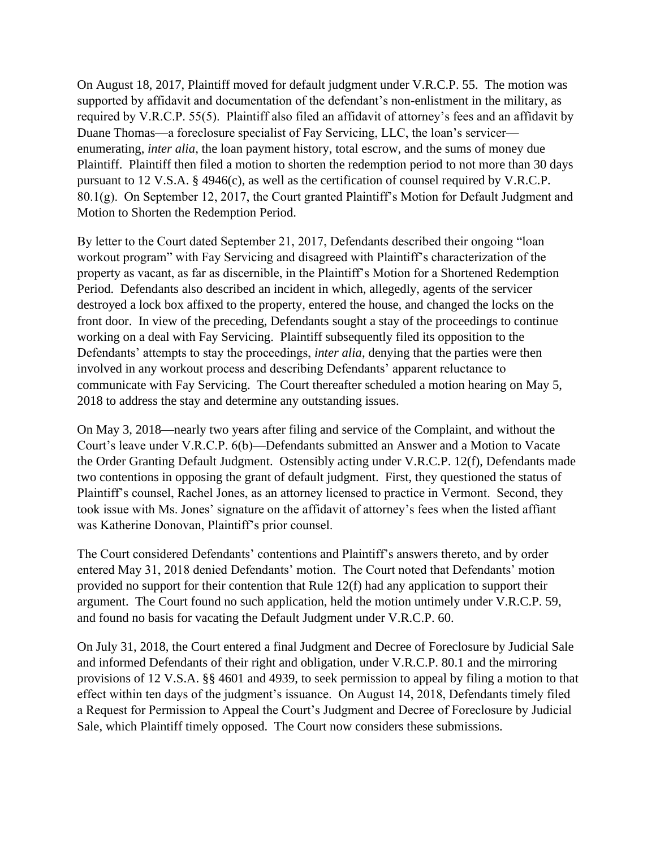On August 18, 2017, Plaintiff moved for default judgment under V.R.C.P. 55. The motion was supported by affidavit and documentation of the defendant's non-enlistment in the military, as required by V.R.C.P. 55(5). Plaintiff also filed an affidavit of attorney's fees and an affidavit by Duane Thomas—a foreclosure specialist of Fay Servicing, LLC, the loan's servicer enumerating, *inter alia*, the loan payment history, total escrow, and the sums of money due Plaintiff. Plaintiff then filed a motion to shorten the redemption period to not more than 30 days pursuant to 12 V.S.A. § 4946(c), as well as the certification of counsel required by V.R.C.P. 80.1(g). On September 12, 2017, the Court granted Plaintiff's Motion for Default Judgment and Motion to Shorten the Redemption Period.

By letter to the Court dated September 21, 2017, Defendants described their ongoing "loan workout program" with Fay Servicing and disagreed with Plaintiff's characterization of the property as vacant, as far as discernible, in the Plaintiff's Motion for a Shortened Redemption Period. Defendants also described an incident in which, allegedly, agents of the servicer destroyed a lock box affixed to the property, entered the house, and changed the locks on the front door. In view of the preceding, Defendants sought a stay of the proceedings to continue working on a deal with Fay Servicing. Plaintiff subsequently filed its opposition to the Defendants' attempts to stay the proceedings, *inter alia*, denying that the parties were then involved in any workout process and describing Defendants' apparent reluctance to communicate with Fay Servicing. The Court thereafter scheduled a motion hearing on May 5, 2018 to address the stay and determine any outstanding issues.

On May 3, 2018—nearly two years after filing and service of the Complaint, and without the Court's leave under V.R.C.P. 6(b)—Defendants submitted an Answer and a Motion to Vacate the Order Granting Default Judgment. Ostensibly acting under V.R.C.P. 12(f), Defendants made two contentions in opposing the grant of default judgment. First, they questioned the status of Plaintiff's counsel, Rachel Jones, as an attorney licensed to practice in Vermont. Second, they took issue with Ms. Jones' signature on the affidavit of attorney's fees when the listed affiant was Katherine Donovan, Plaintiff's prior counsel.

The Court considered Defendants' contentions and Plaintiff's answers thereto, and by order entered May 31, 2018 denied Defendants' motion. The Court noted that Defendants' motion provided no support for their contention that Rule 12(f) had any application to support their argument. The Court found no such application, held the motion untimely under V.R.C.P. 59, and found no basis for vacating the Default Judgment under V.R.C.P. 60.

On July 31, 2018, the Court entered a final Judgment and Decree of Foreclosure by Judicial Sale and informed Defendants of their right and obligation, under V.R.C.P. 80.1 and the mirroring provisions of 12 V.S.A. §§ 4601 and 4939, to seek permission to appeal by filing a motion to that effect within ten days of the judgment's issuance. On August 14, 2018, Defendants timely filed a Request for Permission to Appeal the Court's Judgment and Decree of Foreclosure by Judicial Sale, which Plaintiff timely opposed. The Court now considers these submissions.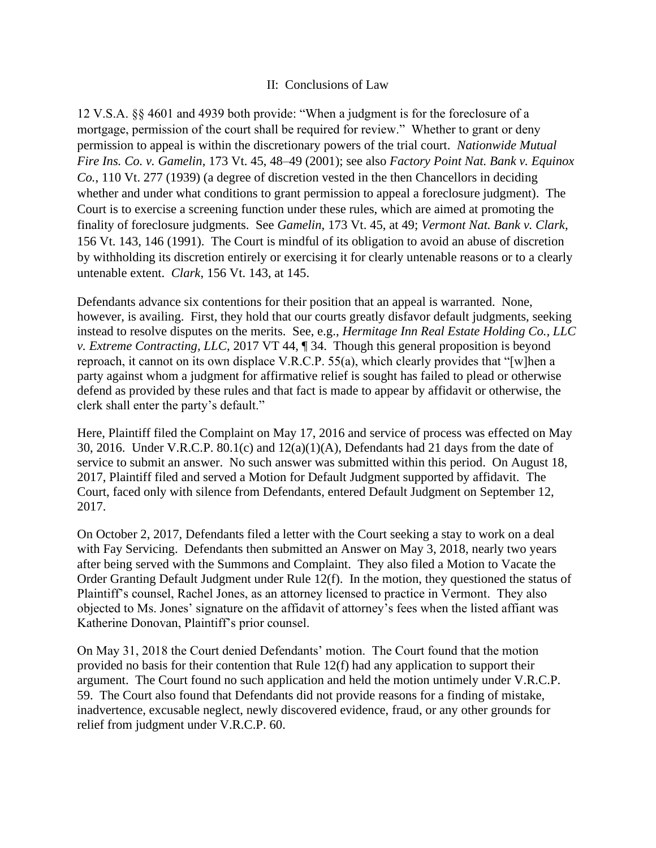### II: Conclusions of Law

12 V.S.A. §§ 4601 and 4939 both provide: "When a judgment is for the foreclosure of a mortgage, permission of the court shall be required for review." Whether to grant or deny permission to appeal is within the discretionary powers of the trial court. *Nationwide Mutual Fire Ins. Co. v. Gamelin*, 173 Vt. 45, 48–49 (2001); see also *Factory Point Nat. Bank v. Equinox Co.*, 110 Vt. 277 (1939) (a degree of discretion vested in the then Chancellors in deciding whether and under what conditions to grant permission to appeal a foreclosure judgment). The Court is to exercise a screening function under these rules, which are aimed at promoting the finality of foreclosure judgments. See *Gamelin*, 173 Vt. 45, at 49; *Vermont Nat. Bank v. Clark*, 156 Vt. 143, 146 (1991). The Court is mindful of its obligation to avoid an abuse of discretion by withholding its discretion entirely or exercising it for clearly untenable reasons or to a clearly untenable extent. *Clark*, 156 Vt. 143, at 145.

Defendants advance six contentions for their position that an appeal is warranted. None, however, is availing. First, they hold that our courts greatly disfavor default judgments, seeking instead to resolve disputes on the merits. See, e.g., *Hermitage Inn Real Estate Holding Co., LLC v. Extreme Contracting, LLC*, 2017 VT 44, ¶ 34. Though this general proposition is beyond reproach, it cannot on its own displace V.R.C.P. 55(a), which clearly provides that "[w]hen a party against whom a judgment for affirmative relief is sought has failed to plead or otherwise defend as provided by these rules and that fact is made to appear by affidavit or otherwise, the clerk shall enter the party's default."

Here, Plaintiff filed the Complaint on May 17, 2016 and service of process was effected on May 30, 2016. Under V.R.C.P.  $80.1(c)$  and  $12(a)(1)(A)$ , Defendants had 21 days from the date of service to submit an answer. No such answer was submitted within this period. On August 18, 2017, Plaintiff filed and served a Motion for Default Judgment supported by affidavit. The Court, faced only with silence from Defendants, entered Default Judgment on September 12, 2017.

On October 2, 2017, Defendants filed a letter with the Court seeking a stay to work on a deal with Fay Servicing. Defendants then submitted an Answer on May 3, 2018, nearly two years after being served with the Summons and Complaint. They also filed a Motion to Vacate the Order Granting Default Judgment under Rule 12(f). In the motion, they questioned the status of Plaintiff's counsel, Rachel Jones, as an attorney licensed to practice in Vermont. They also objected to Ms. Jones' signature on the affidavit of attorney's fees when the listed affiant was Katherine Donovan, Plaintiff's prior counsel.

On May 31, 2018 the Court denied Defendants' motion. The Court found that the motion provided no basis for their contention that Rule 12(f) had any application to support their argument. The Court found no such application and held the motion untimely under V.R.C.P. 59. The Court also found that Defendants did not provide reasons for a finding of mistake, inadvertence, excusable neglect, newly discovered evidence, fraud, or any other grounds for relief from judgment under V.R.C.P. 60.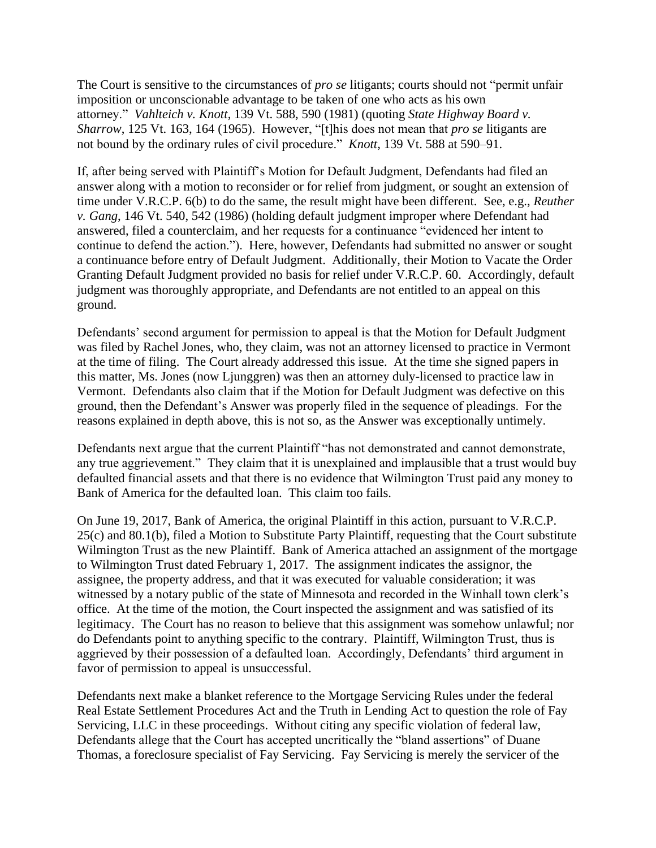The Court is sensitive to the circumstances of *pro se* litigants; courts should not "permit unfair imposition or unconscionable advantage to be taken of one who acts as his own attorney." *Vahlteich v. Knott*, 139 Vt. 588, 590 (1981) (quoting *State Highway Board v. Sharrow*, 125 Vt. 163, 164 (1965). However, "[t]his does not mean that *pro se* litigants are not bound by the ordinary rules of civil procedure." *Knott*, 139 Vt. 588 at 590–91.

If, after being served with Plaintiff's Motion for Default Judgment, Defendants had filed an answer along with a motion to reconsider or for relief from judgment, or sought an extension of time under V.R.C.P. 6(b) to do the same, the result might have been different. See, e.g., *Reuther v. Gang*, 146 Vt. 540, 542 (1986) (holding default judgment improper where Defendant had answered, filed a counterclaim, and her requests for a continuance "evidenced her intent to continue to defend the action."). Here, however, Defendants had submitted no answer or sought a continuance before entry of Default Judgment. Additionally, their Motion to Vacate the Order Granting Default Judgment provided no basis for relief under V.R.C.P. 60. Accordingly, default judgment was thoroughly appropriate, and Defendants are not entitled to an appeal on this ground.

Defendants' second argument for permission to appeal is that the Motion for Default Judgment was filed by Rachel Jones, who, they claim, was not an attorney licensed to practice in Vermont at the time of filing. The Court already addressed this issue. At the time she signed papers in this matter, Ms. Jones (now Ljunggren) was then an attorney duly-licensed to practice law in Vermont. Defendants also claim that if the Motion for Default Judgment was defective on this ground, then the Defendant's Answer was properly filed in the sequence of pleadings. For the reasons explained in depth above, this is not so, as the Answer was exceptionally untimely.

Defendants next argue that the current Plaintiff "has not demonstrated and cannot demonstrate, any true aggrievement." They claim that it is unexplained and implausible that a trust would buy defaulted financial assets and that there is no evidence that Wilmington Trust paid any money to Bank of America for the defaulted loan. This claim too fails.

On June 19, 2017, Bank of America, the original Plaintiff in this action, pursuant to V.R.C.P. 25(c) and 80.1(b), filed a Motion to Substitute Party Plaintiff, requesting that the Court substitute Wilmington Trust as the new Plaintiff. Bank of America attached an assignment of the mortgage to Wilmington Trust dated February 1, 2017. The assignment indicates the assignor, the assignee, the property address, and that it was executed for valuable consideration; it was witnessed by a notary public of the state of Minnesota and recorded in the Winhall town clerk's office. At the time of the motion, the Court inspected the assignment and was satisfied of its legitimacy. The Court has no reason to believe that this assignment was somehow unlawful; nor do Defendants point to anything specific to the contrary. Plaintiff, Wilmington Trust, thus is aggrieved by their possession of a defaulted loan. Accordingly, Defendants' third argument in favor of permission to appeal is unsuccessful.

Defendants next make a blanket reference to the Mortgage Servicing Rules under the federal Real Estate Settlement Procedures Act and the Truth in Lending Act to question the role of Fay Servicing, LLC in these proceedings. Without citing any specific violation of federal law, Defendants allege that the Court has accepted uncritically the "bland assertions" of Duane Thomas, a foreclosure specialist of Fay Servicing. Fay Servicing is merely the servicer of the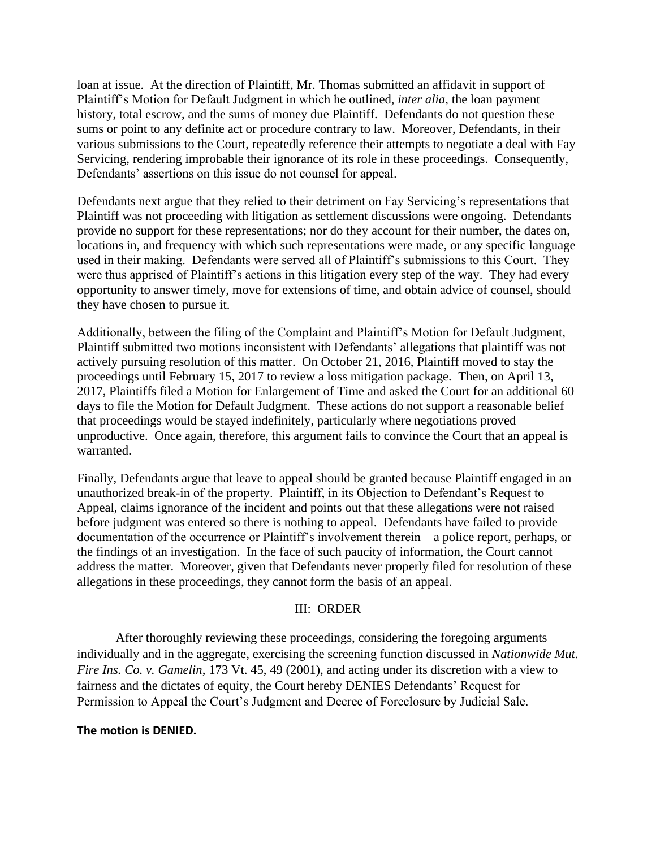loan at issue. At the direction of Plaintiff, Mr. Thomas submitted an affidavit in support of Plaintiff's Motion for Default Judgment in which he outlined, *inter alia*, the loan payment history, total escrow, and the sums of money due Plaintiff. Defendants do not question these sums or point to any definite act or procedure contrary to law. Moreover, Defendants, in their various submissions to the Court, repeatedly reference their attempts to negotiate a deal with Fay Servicing, rendering improbable their ignorance of its role in these proceedings. Consequently, Defendants' assertions on this issue do not counsel for appeal.

Defendants next argue that they relied to their detriment on Fay Servicing's representations that Plaintiff was not proceeding with litigation as settlement discussions were ongoing. Defendants provide no support for these representations; nor do they account for their number, the dates on, locations in, and frequency with which such representations were made, or any specific language used in their making. Defendants were served all of Plaintiff's submissions to this Court. They were thus apprised of Plaintiff's actions in this litigation every step of the way. They had every opportunity to answer timely, move for extensions of time, and obtain advice of counsel, should they have chosen to pursue it.

Additionally, between the filing of the Complaint and Plaintiff's Motion for Default Judgment, Plaintiff submitted two motions inconsistent with Defendants' allegations that plaintiff was not actively pursuing resolution of this matter. On October 21, 2016, Plaintiff moved to stay the proceedings until February 15, 2017 to review a loss mitigation package. Then, on April 13, 2017, Plaintiffs filed a Motion for Enlargement of Time and asked the Court for an additional 60 days to file the Motion for Default Judgment. These actions do not support a reasonable belief that proceedings would be stayed indefinitely, particularly where negotiations proved unproductive. Once again, therefore, this argument fails to convince the Court that an appeal is warranted.

Finally, Defendants argue that leave to appeal should be granted because Plaintiff engaged in an unauthorized break-in of the property. Plaintiff, in its Objection to Defendant's Request to Appeal, claims ignorance of the incident and points out that these allegations were not raised before judgment was entered so there is nothing to appeal. Defendants have failed to provide documentation of the occurrence or Plaintiff's involvement therein—a police report, perhaps, or the findings of an investigation. In the face of such paucity of information, the Court cannot address the matter. Moreover, given that Defendants never properly filed for resolution of these allegations in these proceedings, they cannot form the basis of an appeal.

#### III: ORDER

After thoroughly reviewing these proceedings, considering the foregoing arguments individually and in the aggregate, exercising the screening function discussed in *Nationwide Mut. Fire Ins. Co. v. Gamelin*, 173 Vt. 45, 49 (2001), and acting under its discretion with a view to fairness and the dictates of equity, the Court hereby DENIES Defendants' Request for Permission to Appeal the Court's Judgment and Decree of Foreclosure by Judicial Sale.

### **The motion is DENIED.**